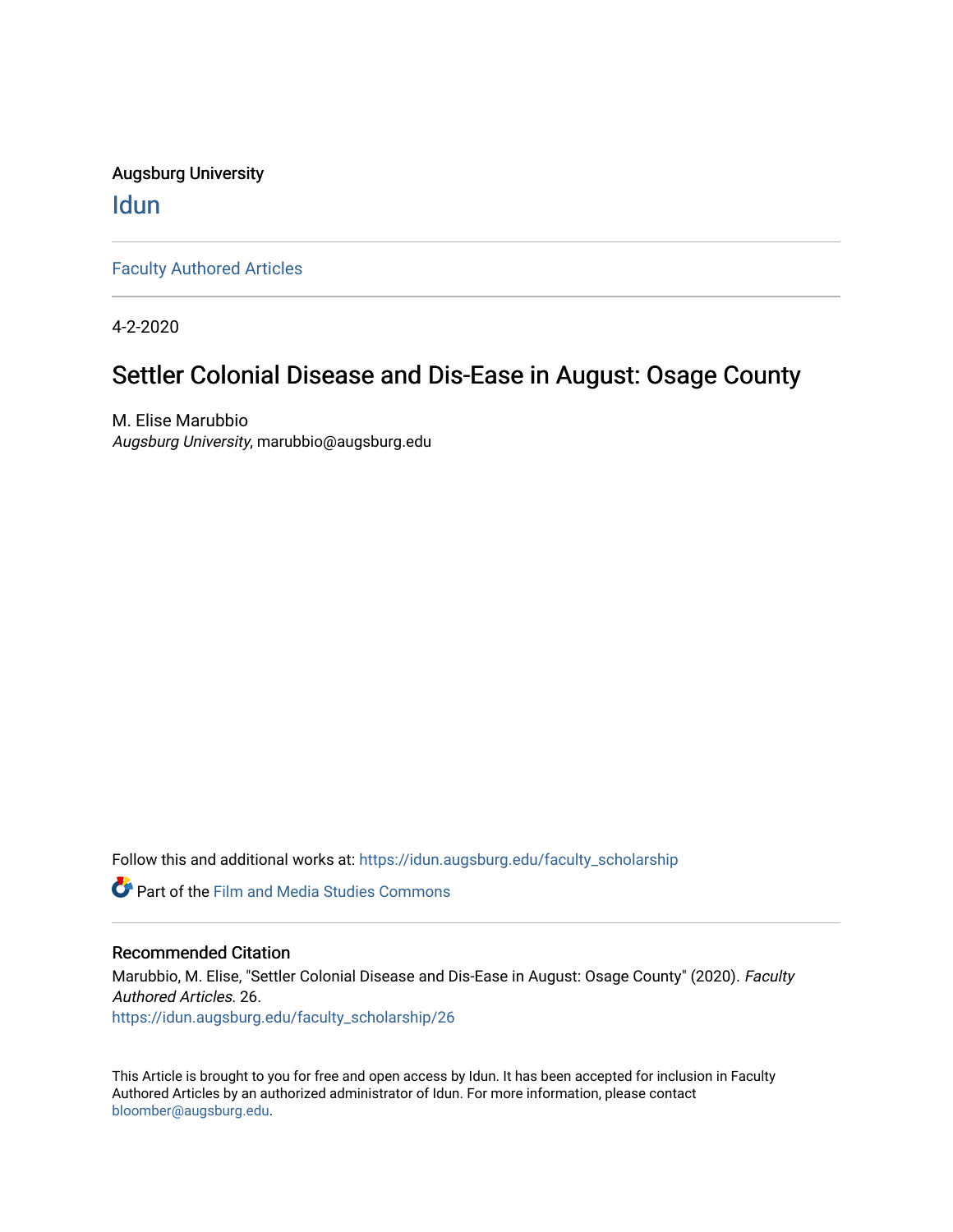Augsburg University **Idun** 

[Faculty Authored Articles](https://idun.augsburg.edu/faculty_scholarship) 

4-2-2020

## Settler Colonial Disease and Dis-Ease in August: Osage County

M. Elise Marubbio Augsburg University, marubbio@augsburg.edu

Follow this and additional works at: [https://idun.augsburg.edu/faculty\\_scholarship](https://idun.augsburg.edu/faculty_scholarship?utm_source=idun.augsburg.edu%2Ffaculty_scholarship%2F26&utm_medium=PDF&utm_campaign=PDFCoverPages) 

Part of the [Film and Media Studies Commons](http://network.bepress.com/hgg/discipline/563?utm_source=idun.augsburg.edu%2Ffaculty_scholarship%2F26&utm_medium=PDF&utm_campaign=PDFCoverPages) 

#### Recommended Citation

Marubbio, M. Elise, "Settler Colonial Disease and Dis-Ease in August: Osage County" (2020). Faculty Authored Articles. 26. [https://idun.augsburg.edu/faculty\\_scholarship/26](https://idun.augsburg.edu/faculty_scholarship/26?utm_source=idun.augsburg.edu%2Ffaculty_scholarship%2F26&utm_medium=PDF&utm_campaign=PDFCoverPages) 

This Article is brought to you for free and open access by Idun. It has been accepted for inclusion in Faculty Authored Articles by an authorized administrator of Idun. For more information, please contact [bloomber@augsburg.edu](mailto:bloomber@augsburg.edu).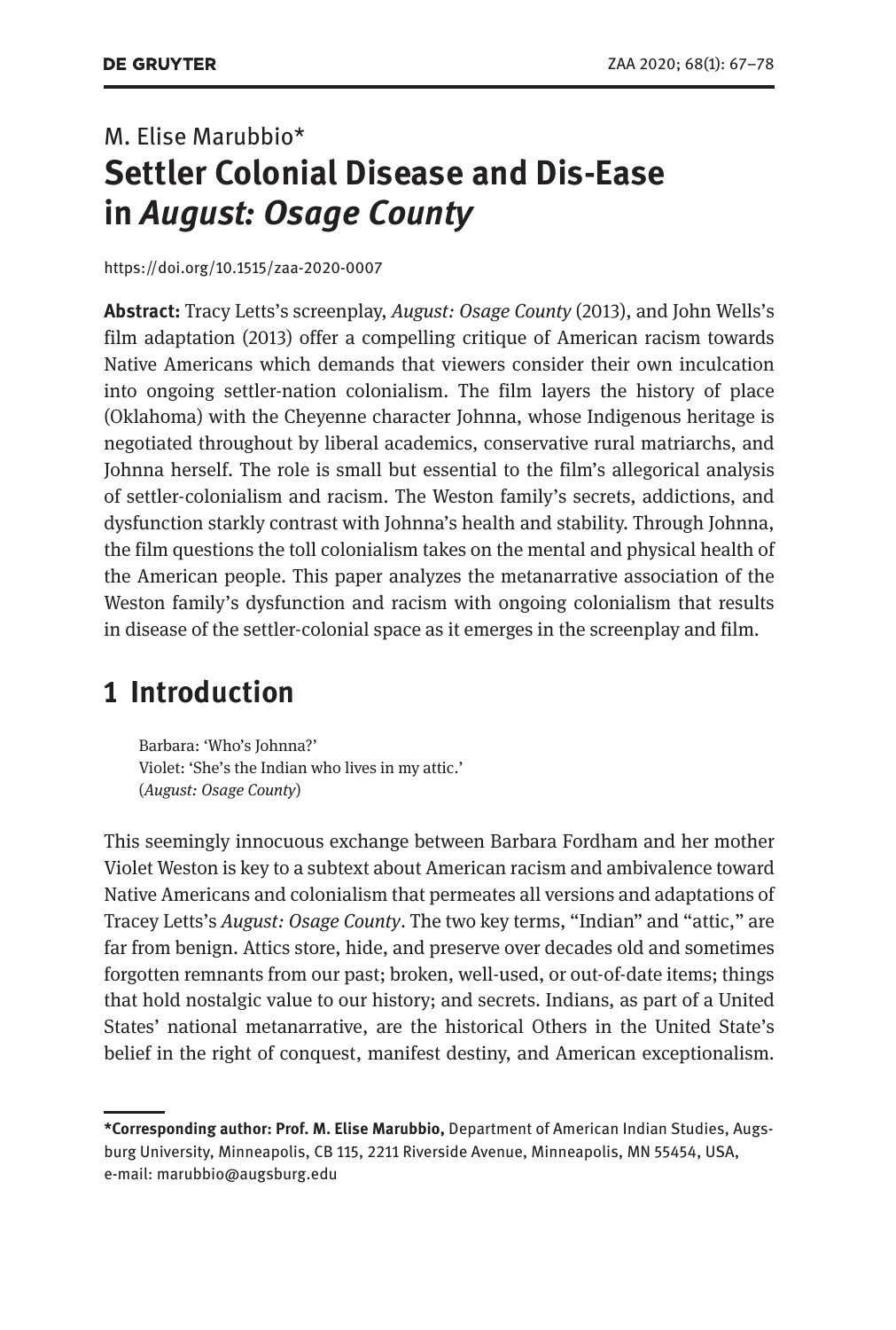# M. Elise Marubbio\* **Settler Colonial Disease and Dis-Ease in** *August: Osage County*

<https://doi.org/10.1515/zaa-2020-0007>

**Abstract:** Tracy Letts's screenplay, *August: Osage County* (2013), and John Wells's film adaptation (2013) offer a compelling critique of American racism towards Native Americans which demands that viewers consider their own inculcation into ongoing settler-nation colonialism. The film layers the history of place (Oklahoma) with the Cheyenne character Johnna, whose Indigenous heritage is negotiated throughout by liberal academics, conservative rural matriarchs, and Johnna herself. The role is small but essential to the film's allegorical analysis of settler-colonialism and racism. The Weston family's secrets, addictions, and dysfunction starkly contrast with Johnna's health and stability. Through Johnna, the film questions the toll colonialism takes on the mental and physical health of the American people. This paper analyzes the metanarrative association of the Weston family's dysfunction and racism with ongoing colonialism that results in disease of the settler-colonial space as it emerges in the screenplay and film.

#### **1 Introduction**

Barbara: 'Who's Johnna?' Violet: 'She's the Indian who lives in my attic.' (*August: Osage County*)

This seemingly innocuous exchange between Barbara Fordham and her mother Violet Weston is key to a subtext about American racism and ambivalence toward Native Americans and colonialism that permeates all versions and adaptations of Tracey Letts's *August: Osage County*. The two key terms, "Indian" and "attic," are far from benign. Attics store, hide, and preserve over decades old and sometimes forgotten remnants from our past; broken, well-used, or out-of-date items; things that hold nostalgic value to our history; and secrets. Indians, as part of a United States' national metanarrative, are the historical Others in the United State's belief in the right of conquest, manifest destiny, and American exceptionalism.

**<sup>\*</sup>Corresponding author: Prof. M. Elise Marubbio,** Department of American Indian Studies, Augsburg University, Minneapolis, CB 115, 2211 Riverside Avenue, Minneapolis, MN 55454, USA, e-mail: [marubbio@augsburg.edu](mailto:marubbio@augsburg.edu)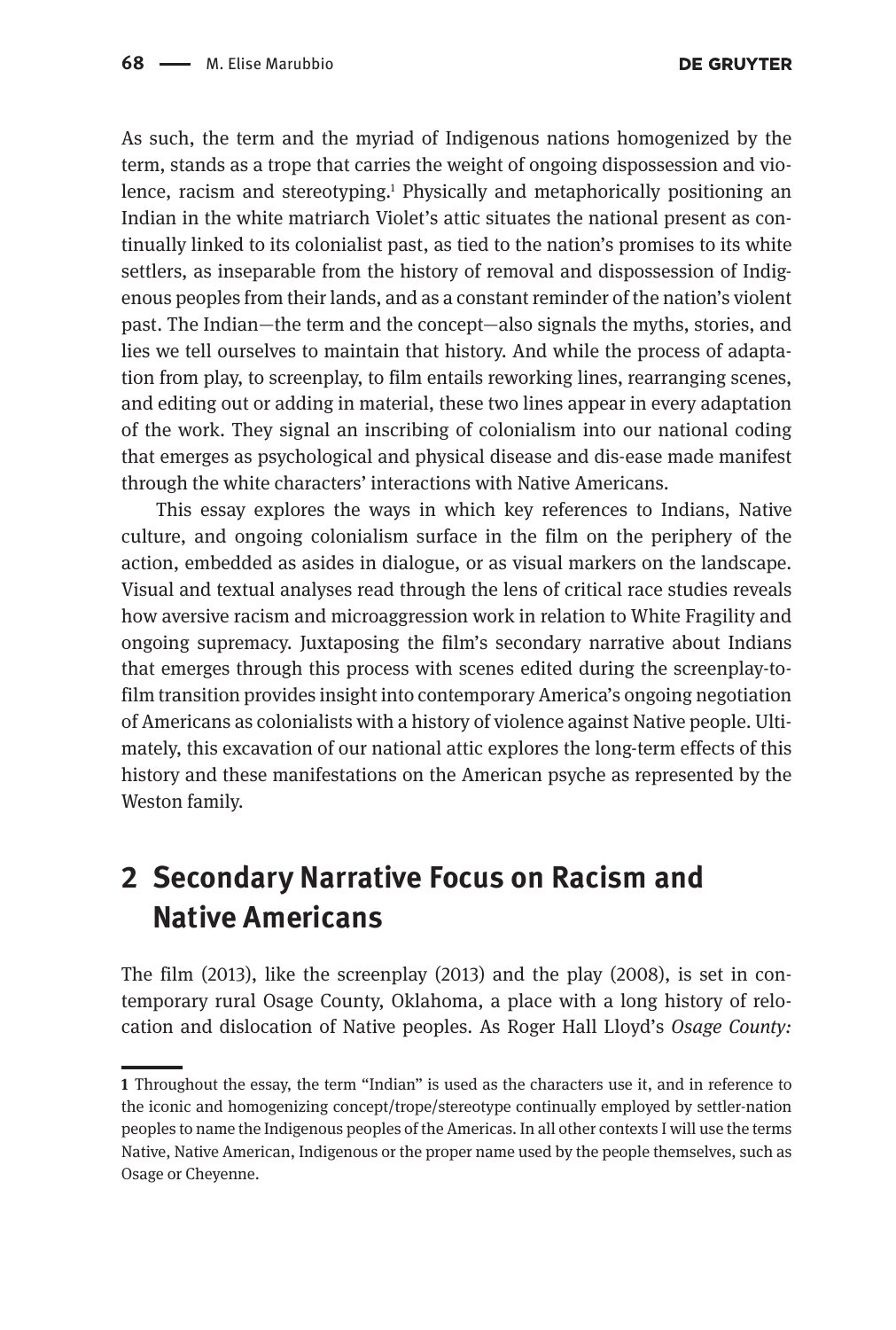As such, the term and the myriad of Indigenous nations homogenized by the term, stands as a trope that carries the weight of ongoing dispossession and violence, racism and stereotyping.<sup>1</sup> Physically and metaphorically positioning an Indian in the white matriarch Violet's attic situates the national present as continually linked to its colonialist past, as tied to the nation's promises to its white settlers, as inseparable from the history of removal and dispossession of Indigenous peoples from their lands, and as a constant reminder of the nation's violent past. The Indian—the term and the concept—also signals the myths, stories, and lies we tell ourselves to maintain that history. And while the process of adaptation from play, to screenplay, to film entails reworking lines, rearranging scenes, and editing out or adding in material, these two lines appear in every adaptation of the work. They signal an inscribing of colonialism into our national coding that emerges as psychological and physical disease and dis-ease made manifest through the white characters' interactions with Native Americans.

This essay explores the ways in which key references to Indians, Native culture, and ongoing colonialism surface in the film on the periphery of the action, embedded as asides in dialogue, or as visual markers on the landscape. Visual and textual analyses read through the lens of critical race studies reveals how aversive racism and microaggression work in relation to White Fragility and ongoing supremacy. Juxtaposing the film's secondary narrative about Indians that emerges through this process with scenes edited during the screenplay-tofilm transition provides insight into contemporary America's ongoing negotiation of Americans as colonialists with a history of violence against Native people. Ultimately, this excavation of our national attic explores the long-term effects of this history and these manifestations on the American psyche as represented by the Weston family.

# **2 Secondary Narrative Focus on Racism and Native Americans**

The film (2013), like the screenplay (2013) and the play (2008), is set in contemporary rural Osage County, Oklahoma, a place with a long history of relocation and dislocation of Native peoples. As Roger Hall Lloyd's *Osage County:* 

**<sup>1</sup>** Throughout the essay, the term "Indian" is used as the characters use it, and in reference to the iconic and homogenizing concept/trope/stereotype continually employed by settler-nation peoples to name the Indigenous peoples of the Americas. In all other contexts I will use the terms Native, Native American, Indigenous or the proper name used by the people themselves, such as Osage or Cheyenne.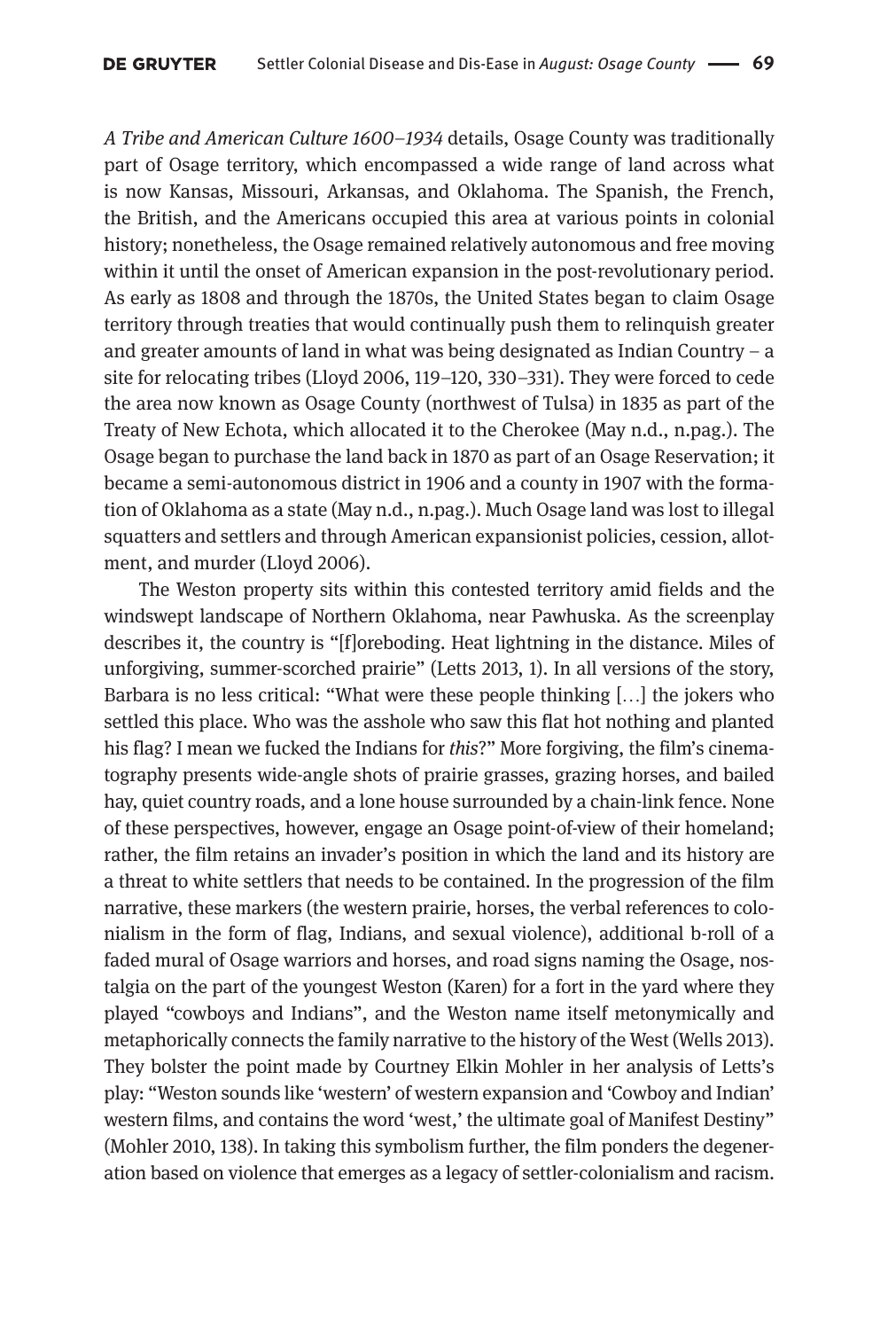*A Tribe and American Culture 1600–1934* details, Osage County was traditionally part of Osage territory, which encompassed a wide range of land across what is now Kansas, Missouri, Arkansas, and Oklahoma. The Spanish, the French, the British, and the Americans occupied this area at various points in colonial history; nonetheless, the Osage remained relatively autonomous and free moving within it until the onset of American expansion in the post-revolutionary period. As early as 1808 and through the 1870s, the United States began to claim Osage territory through treaties that would continually push them to relinquish greater and greater amounts of land in what was being designated as Indian Country – a site for relocating tribes (Lloyd 2006, 119–120, 330–331). They were forced to cede the area now known as Osage County (northwest of Tulsa) in 1835 as part of the Treaty of New Echota, which allocated it to the Cherokee (May n.d., n.pag.). The Osage began to purchase the land back in 1870 as part of an Osage Reservation; it became a semi-autonomous district in 1906 and a county in 1907 with the formation of Oklahoma as a state (May n.d., n.pag.). Much Osage land was lost to illegal squatters and settlers and through American expansionist policies, cession, allotment, and murder (Lloyd 2006).

The Weston property sits within this contested territory amid fields and the windswept landscape of Northern Oklahoma, near Pawhuska. As the screenplay describes it, the country is "[f]oreboding. Heat lightning in the distance. Miles of unforgiving, summer-scorched prairie" (Letts 2013, 1). In all versions of the story, Barbara is no less critical: "What were these people thinking […] the jokers who settled this place. Who was the asshole who saw this flat hot nothing and planted his flag? I mean we fucked the Indians for *this*?" More forgiving, the film's cinematography presents wide-angle shots of prairie grasses, grazing horses, and bailed hay, quiet country roads, and a lone house surrounded by a chain-link fence. None of these perspectives, however, engage an Osage point-of-view of their homeland; rather, the film retains an invader's position in which the land and its history are a threat to white settlers that needs to be contained. In the progression of the film narrative, these markers (the western prairie, horses, the verbal references to colonialism in the form of flag, Indians, and sexual violence), additional b-roll of a faded mural of Osage warriors and horses, and road signs naming the Osage, nostalgia on the part of the youngest Weston (Karen) for a fort in the yard where they played "cowboys and Indians", and the Weston name itself metonymically and metaphorically connects the family narrative to the history of the West (Wells 2013). They bolster the point made by Courtney Elkin Mohler in her analysis of Letts's play: "Weston sounds like 'western' of western expansion and 'Cowboy and Indian' western films, and contains the word 'west,' the ultimate goal of Manifest Destiny" (Mohler 2010, 138). In taking this symbolism further, the film ponders the degeneration based on violence that emerges as a legacy of settler-colonialism and racism.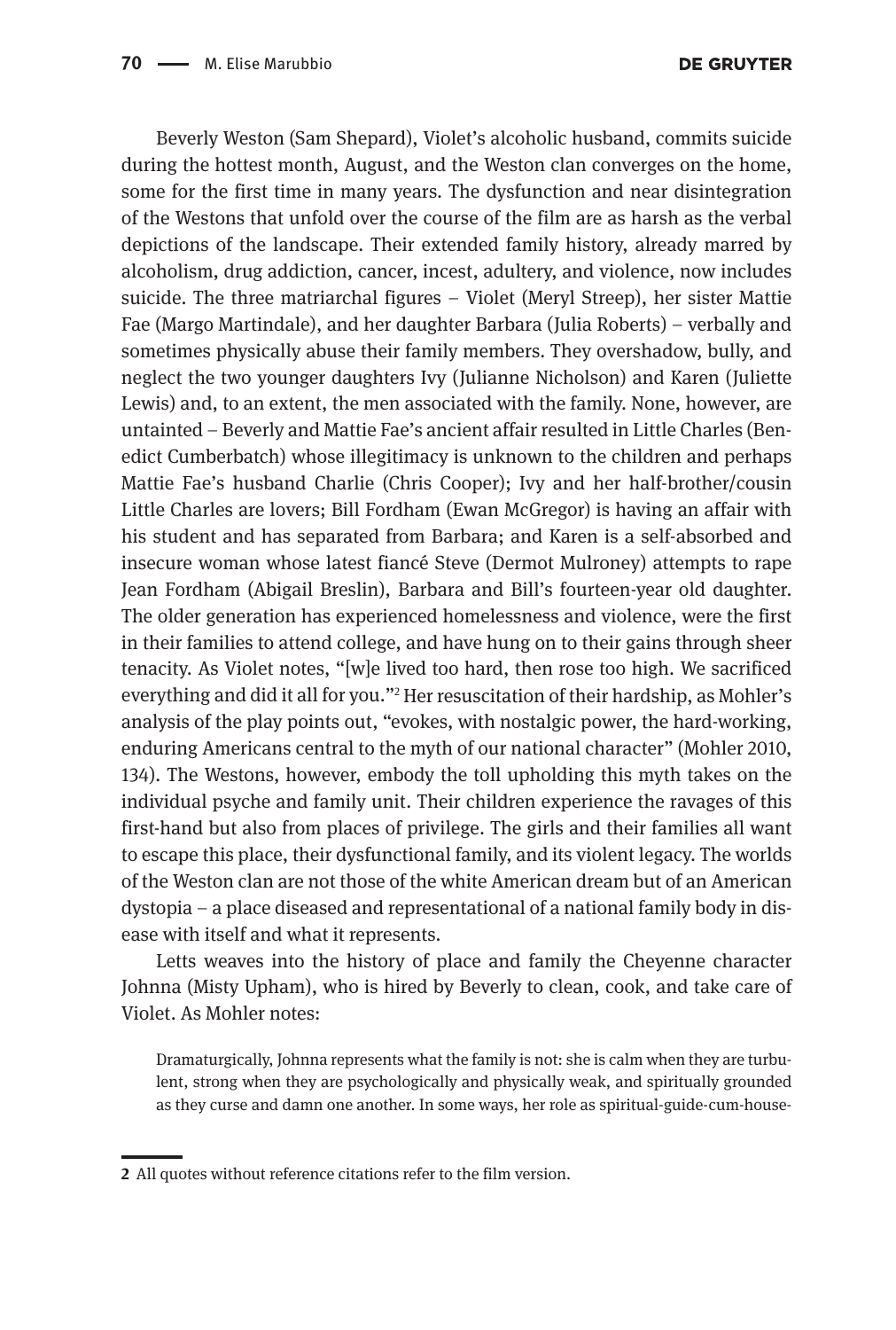Beverly Weston (Sam Shepard), Violet's alcoholic husband, commits suicide during the hottest month, August, and the Weston clan converges on the home, some for the first time in many years. The dysfunction and near disintegration of the Westons that unfold over the course of the film are as harsh as the verbal depictions of the landscape. Their extended family history, already marred by alcoholism, drug addiction, cancer, incest, adultery, and violence, now includes suicide. The three matriarchal figures – Violet (Meryl Streep), her sister Mattie Fae (Margo Martindale), and her daughter Barbara (Julia Roberts) – verbally and sometimes physically abuse their family members. They overshadow, bully, and neglect the two younger daughters Ivy (Julianne Nicholson) and Karen (Juliette Lewis) and, to an extent, the men associated with the family. None, however, are untainted – Beverly and Mattie Fae's ancient affair resulted in Little Charles (Benedict Cumberbatch) whose illegitimacy is unknown to the children and perhaps Mattie Fae's husband Charlie (Chris Cooper); Ivy and her half-brother/cousin Little Charles are lovers; Bill Fordham (Ewan McGregor) is having an affair with his student and has separated from Barbara; and Karen is a self-absorbed and insecure woman whose latest fiancé Steve (Dermot Mulroney) attempts to rape Jean Fordham (Abigail Breslin), Barbara and Bill's fourteen-year old daughter. The older generation has experienced homelessness and violence, were the first in their families to attend college, and have hung on to their gains through sheer tenacity. As Violet notes, "[w]e lived too hard, then rose too high. We sacrificed everything and did it all for you."2 Her resuscitation of their hardship, as Mohler's analysis of the play points out, "evokes, with nostalgic power, the hard-working, enduring Americans central to the myth of our national character" (Mohler 2010, 134). The Westons, however, embody the toll upholding this myth takes on the individual psyche and family unit. Their children experience the ravages of this first-hand but also from places of privilege. The girls and their families all want to escape this place, their dysfunctional family, and its violent legacy. The worlds of the Weston clan are not those of the white American dream but of an American dystopia – a place diseased and representational of a national family body in disease with itself and what it represents.

Letts weaves into the history of place and family the Cheyenne character Johnna (Misty Upham), who is hired by Beverly to clean, cook, and take care of Violet. As Mohler notes:

Dramaturgically, Johnna represents what the family is not: she is calm when they are turbulent, strong when they are psychologically and physically weak, and spiritually grounded as they curse and damn one another. In some ways, her role as spiritual-guide-cum-house-

**<sup>2</sup>** All quotes without reference citations refer to the film version.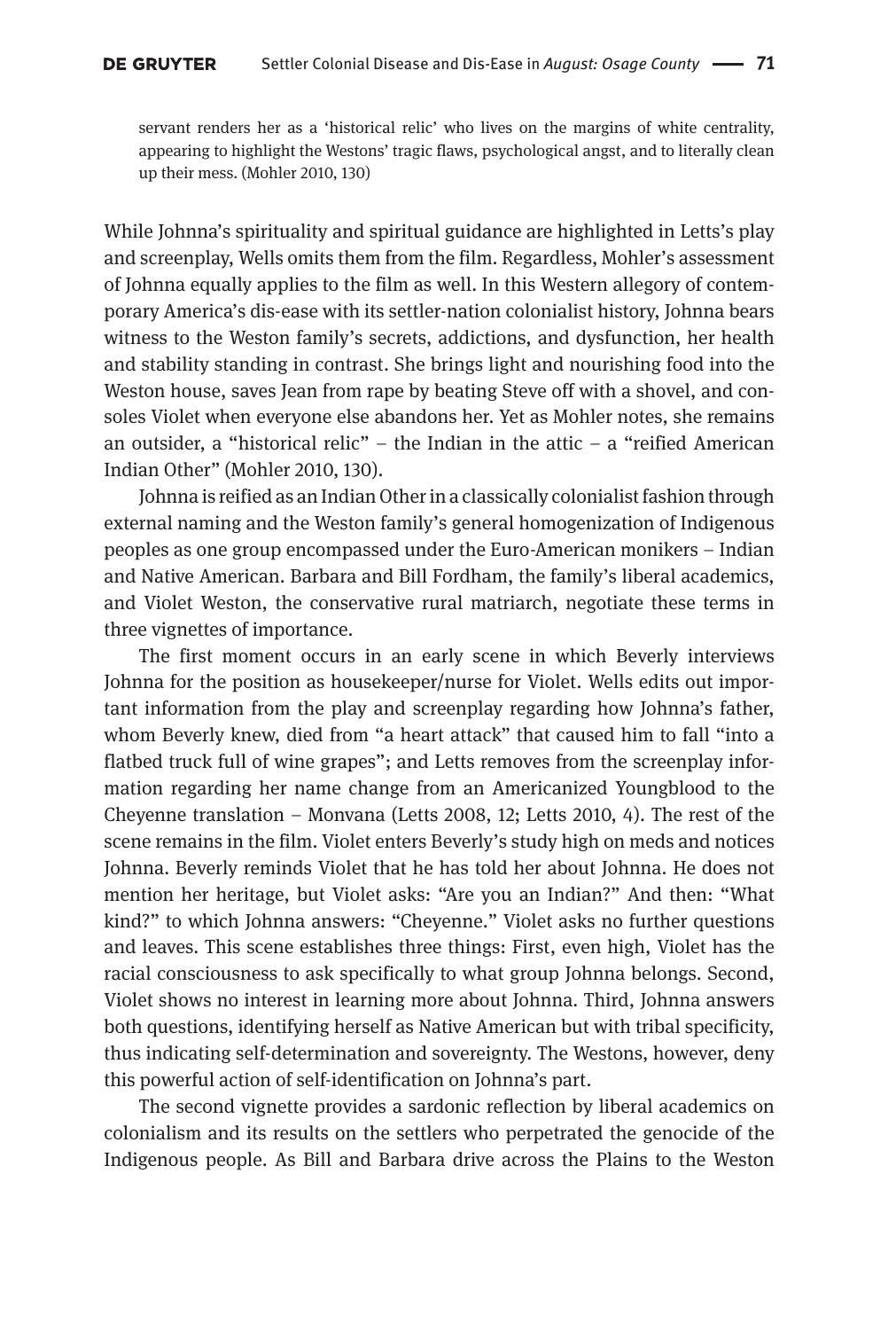servant renders her as a 'historical relic' who lives on the margins of white centrality, appearing to highlight the Westons' tragic flaws, psychological angst, and to literally clean up their mess. (Mohler 2010, 130)

While Johnna's spirituality and spiritual guidance are highlighted in Letts's play and screenplay, Wells omits them from the film. Regardless, Mohler's assessment of Johnna equally applies to the film as well. In this Western allegory of contemporary America's dis-ease with its settler-nation colonialist history, Johnna bears witness to the Weston family's secrets, addictions, and dysfunction, her health and stability standing in contrast. She brings light and nourishing food into the Weston house, saves Jean from rape by beating Steve off with a shovel, and consoles Violet when everyone else abandons her. Yet as Mohler notes, she remains an outsider, a "historical relic" – the Indian in the attic – a "reified American Indian Other" (Mohler 2010, 130).

Johnna is reified as an Indian Other in a classically colonialist fashion through external naming and the Weston family's general homogenization of Indigenous peoples as one group encompassed under the Euro-American monikers – Indian and Native American. Barbara and Bill Fordham, the family's liberal academics, and Violet Weston, the conservative rural matriarch, negotiate these terms in three vignettes of importance.

The first moment occurs in an early scene in which Beverly interviews Johnna for the position as housekeeper/nurse for Violet. Wells edits out important information from the play and screenplay regarding how Johnna's father, whom Beverly knew, died from "a heart attack" that caused him to fall "into a flatbed truck full of wine grapes"; and Letts removes from the screenplay information regarding her name change from an Americanized Youngblood to the Cheyenne translation – Monvana (Letts 2008, 12; Letts 2010, 4). The rest of the scene remains in the film. Violet enters Beverly's study high on meds and notices Johnna. Beverly reminds Violet that he has told her about Johnna. He does not mention her heritage, but Violet asks: "Are you an Indian?" And then: "What kind?" to which Johnna answers: "Cheyenne." Violet asks no further questions and leaves. This scene establishes three things: First, even high, Violet has the racial consciousness to ask specifically to what group Johnna belongs. Second, Violet shows no interest in learning more about Johnna. Third, Johnna answers both questions, identifying herself as Native American but with tribal specificity, thus indicating self-determination and sovereignty. The Westons, however, deny this powerful action of self-identification on Johnna's part.

The second vignette provides a sardonic reflection by liberal academics on colonialism and its results on the settlers who perpetrated the genocide of the Indigenous people. As Bill and Barbara drive across the Plains to the Weston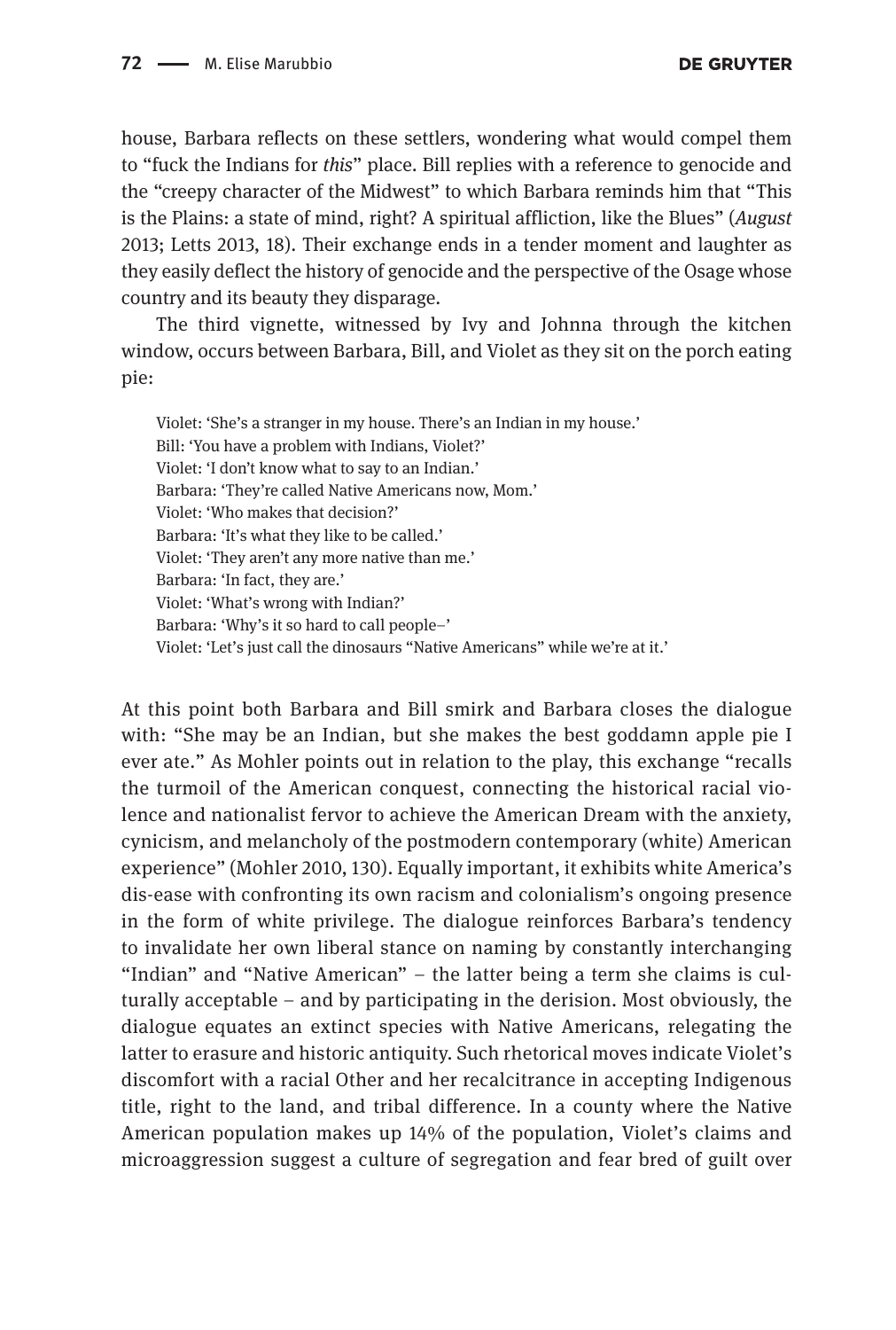house, Barbara reflects on these settlers, wondering what would compel them to "fuck the Indians for *this*" place. Bill replies with a reference to genocide and the "creepy character of the Midwest" to which Barbara reminds him that "This is the Plains: a state of mind, right? A spiritual affliction, like the Blues" (*August* 2013; Letts 2013, 18). Their exchange ends in a tender moment and laughter as they easily deflect the history of genocide and the perspective of the Osage whose country and its beauty they disparage.

The third vignette, witnessed by Ivy and Johnna through the kitchen window, occurs between Barbara, Bill, and Violet as they sit on the porch eating pie:

Violet: 'She's a stranger in my house. There's an Indian in my house.' Bill: 'You have a problem with Indians, Violet?' Violet: 'I don't know what to say to an Indian.' Barbara: 'They're called Native Americans now, Mom.' Violet: 'Who makes that decision?' Barbara: 'It's what they like to be called.' Violet: 'They aren't any more native than me.' Barbara: 'In fact, they are.' Violet: 'What's wrong with Indian?' Barbara: 'Why's it so hard to call people–' Violet: 'Let's just call the dinosaurs "Native Americans" while we're at it.'

At this point both Barbara and Bill smirk and Barbara closes the dialogue with: "She may be an Indian, but she makes the best goddamn apple pie I ever ate." As Mohler points out in relation to the play, this exchange "recalls the turmoil of the American conquest, connecting the historical racial violence and nationalist fervor to achieve the American Dream with the anxiety, cynicism, and melancholy of the postmodern contemporary (white) American experience" (Mohler 2010, 130). Equally important, it exhibits white America's dis-ease with confronting its own racism and colonialism's ongoing presence in the form of white privilege. The dialogue reinforces Barbara's tendency to invalidate her own liberal stance on naming by constantly interchanging "Indian" and "Native American" – the latter being a term she claims is culturally acceptable – and by participating in the derision. Most obviously, the dialogue equates an extinct species with Native Americans, relegating the latter to erasure and historic antiquity. Such rhetorical moves indicate Violet's discomfort with a racial Other and her recalcitrance in accepting Indigenous title, right to the land, and tribal difference. In a county where the Native American population makes up 14% of the population, Violet's claims and microaggression suggest a culture of segregation and fear bred of guilt over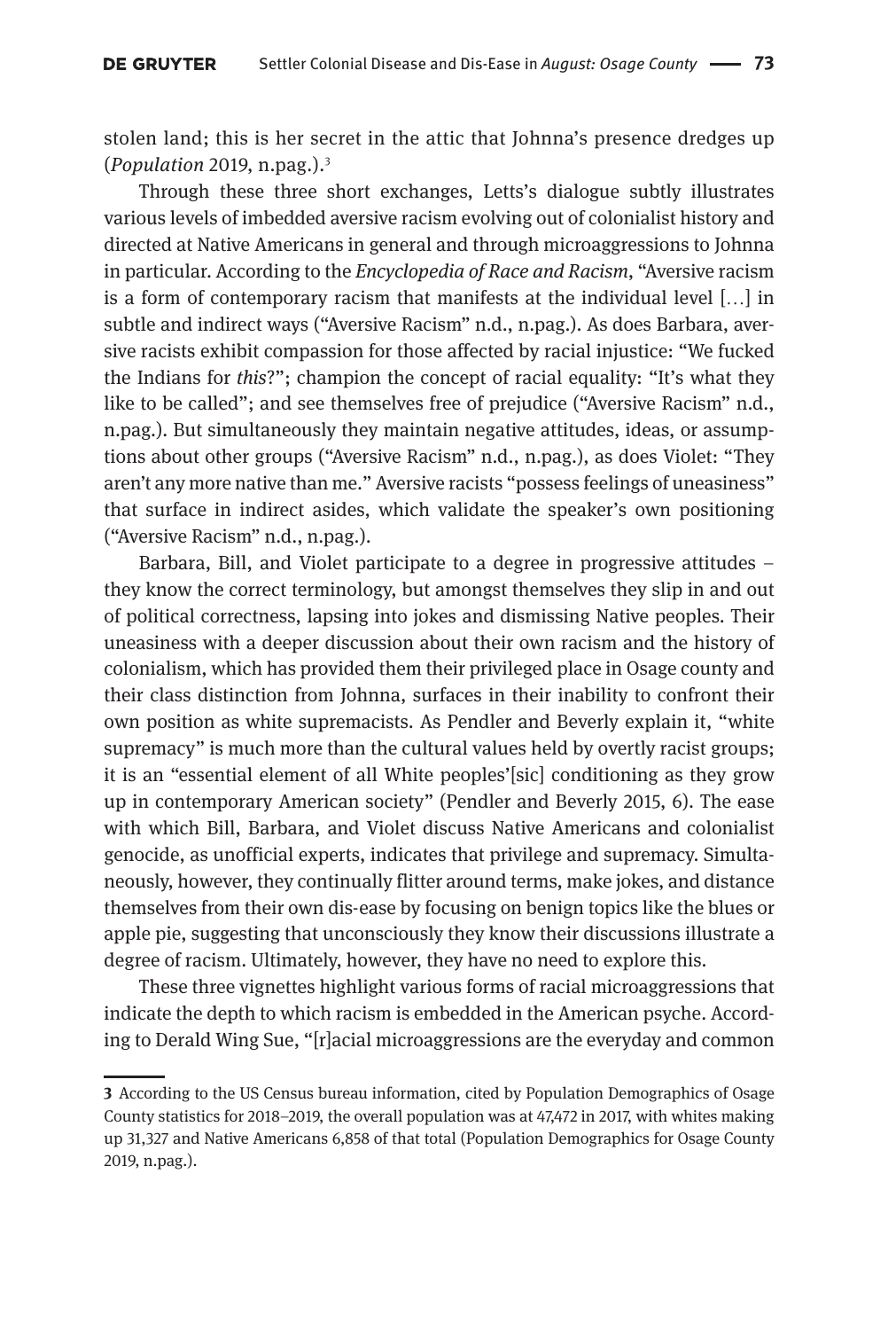stolen land; this is her secret in the attic that Johnna's presence dredges up (*Population* 2019, n.pag.).3

Through these three short exchanges, Letts's dialogue subtly illustrates various levels of imbedded aversive racism evolving out of colonialist history and directed at Native Americans in general and through microaggressions to Johnna in particular. According to the *Encyclopedia of Race and Racism*, "Aversive racism is a form of contemporary racism that manifests at the individual level […] in subtle and indirect ways ("Aversive Racism" n.d., n.pag.). As does Barbara, aversive racists exhibit compassion for those affected by racial injustice: "We fucked the Indians for *this*?"; champion the concept of racial equality: "It's what they like to be called"; and see themselves free of prejudice ("Aversive Racism" n.d., n.pag.). But simultaneously they maintain negative attitudes, ideas, or assumptions about other groups ("Aversive Racism" n.d., n.pag.), as does Violet: "They aren't any more native than me." Aversive racists "possess feelings of uneasiness" that surface in indirect asides, which validate the speaker's own positioning ("Aversive Racism" n.d., n.pag.).

Barbara, Bill, and Violet participate to a degree in progressive attitudes – they know the correct terminology, but amongst themselves they slip in and out of political correctness, lapsing into jokes and dismissing Native peoples. Their uneasiness with a deeper discussion about their own racism and the history of colonialism, which has provided them their privileged place in Osage county and their class distinction from Johnna, surfaces in their inability to confront their own position as white supremacists. As Pendler and Beverly explain it, "white supremacy" is much more than the cultural values held by overtly racist groups; it is an "essential element of all White peoples'[sic] conditioning as they grow up in contemporary American society" (Pendler and Beverly 2015, 6). The ease with which Bill, Barbara, and Violet discuss Native Americans and colonialist genocide, as unofficial experts, indicates that privilege and supremacy. Simultaneously, however, they continually flitter around terms, make jokes, and distance themselves from their own dis-ease by focusing on benign topics like the blues or apple pie, suggesting that unconsciously they know their discussions illustrate a degree of racism. Ultimately, however, they have no need to explore this.

These three vignettes highlight various forms of racial microaggressions that indicate the depth to which racism is embedded in the American psyche. According to Derald Wing Sue, "[r]acial microaggressions are the everyday and common

**<sup>3</sup>** According to the US Census bureau information, cited by Population Demographics of Osage County statistics for 2018–2019, the overall population was at 47,472 in 2017, with whites making up 31,327 and Native Americans 6,858 of that total (Population Demographics for Osage County 2019, n.pag.).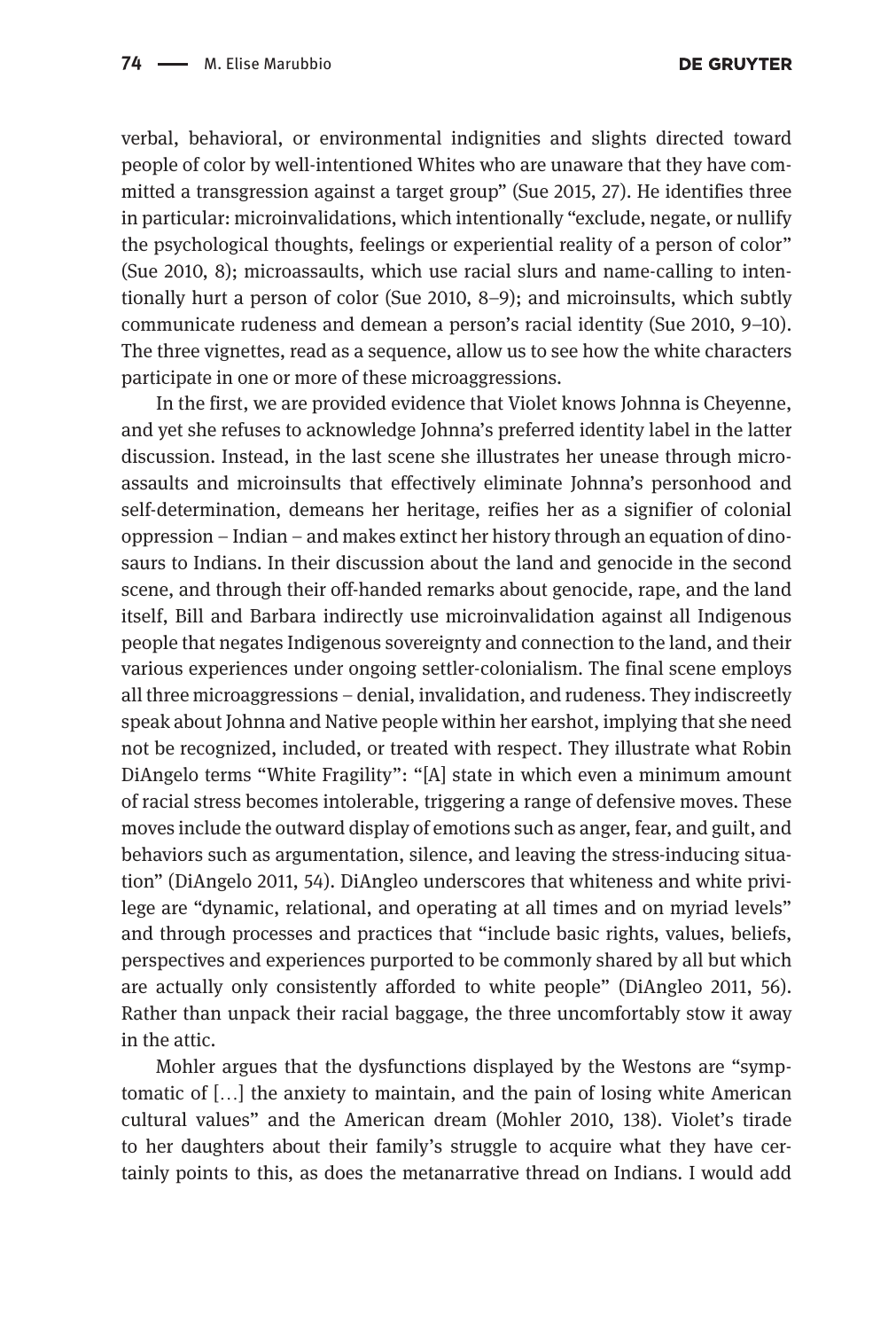verbal, behavioral, or environmental indignities and slights directed toward people of color by well-intentioned Whites who are unaware that they have committed a transgression against a target group" (Sue 2015, 27). He identifies three in particular: microinvalidations, which intentionally "exclude, negate, or nullify the psychological thoughts, feelings or experiential reality of a person of color" (Sue 2010, 8); microassaults, which use racial slurs and name-calling to intentionally hurt a person of color (Sue 2010, 8–9); and microinsults, which subtly communicate rudeness and demean a person's racial identity (Sue 2010, 9–10). The three vignettes, read as a sequence, allow us to see how the white characters participate in one or more of these microaggressions.

In the first, we are provided evidence that Violet knows Johnna is Cheyenne, and yet she refuses to acknowledge Johnna's preferred identity label in the latter discussion. Instead, in the last scene she illustrates her unease through microassaults and microinsults that effectively eliminate Johnna's personhood and self-determination, demeans her heritage, reifies her as a signifier of colonial oppression – Indian – and makes extinct her history through an equation of dinosaurs to Indians. In their discussion about the land and genocide in the second scene, and through their off-handed remarks about genocide, rape, and the land itself, Bill and Barbara indirectly use microinvalidation against all Indigenous people that negates Indigenous sovereignty and connection to the land, and their various experiences under ongoing settler-colonialism. The final scene employs all three microaggressions – denial, invalidation, and rudeness. They indiscreetly speak about Johnna and Native people within her earshot, implying that she need not be recognized, included, or treated with respect. They illustrate what Robin DiAngelo terms "White Fragility": "[A] state in which even a minimum amount of racial stress becomes intolerable, triggering a range of defensive moves. These moves include the outward display of emotions such as anger, fear, and guilt, and behaviors such as argumentation, silence, and leaving the stress-inducing situation" (DiAngelo 2011, 54). DiAngleo underscores that whiteness and white privilege are "dynamic, relational, and operating at all times and on myriad levels" and through processes and practices that "include basic rights, values, beliefs, perspectives and experiences purported to be commonly shared by all but which are actually only consistently afforded to white people" (DiAngleo 2011, 56). Rather than unpack their racial baggage, the three uncomfortably stow it away in the attic.

Mohler argues that the dysfunctions displayed by the Westons are "symptomatic of […] the anxiety to maintain, and the pain of losing white American cultural values" and the American dream (Mohler 2010, 138). Violet's tirade to her daughters about their family's struggle to acquire what they have certainly points to this, as does the metanarrative thread on Indians. I would add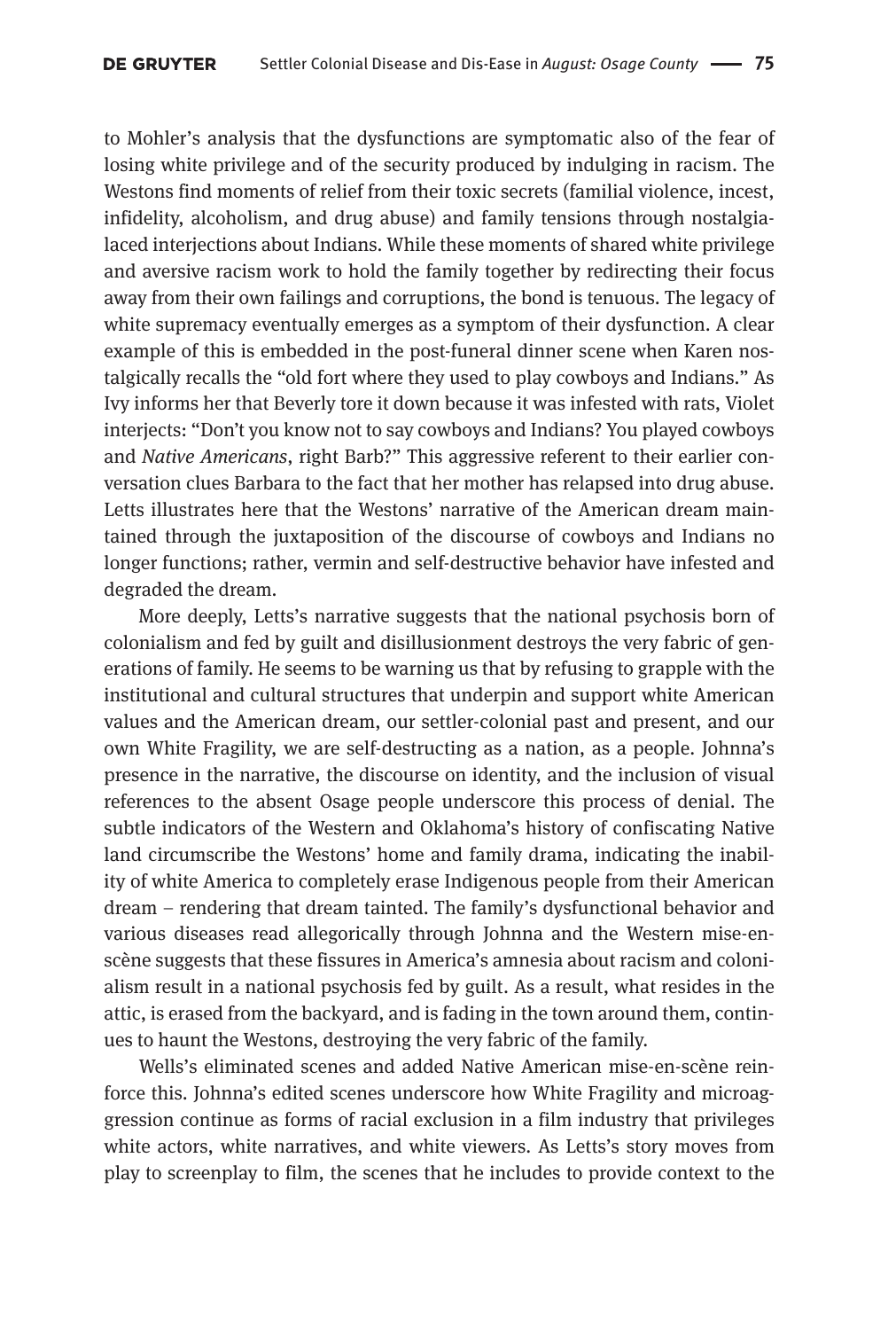to Mohler's analysis that the dysfunctions are symptomatic also of the fear of losing white privilege and of the security produced by indulging in racism. The Westons find moments of relief from their toxic secrets (familial violence, incest, infidelity, alcoholism, and drug abuse) and family tensions through nostalgialaced interjections about Indians. While these moments of shared white privilege and aversive racism work to hold the family together by redirecting their focus away from their own failings and corruptions, the bond is tenuous. The legacy of white supremacy eventually emerges as a symptom of their dysfunction. A clear example of this is embedded in the post-funeral dinner scene when Karen nostalgically recalls the "old fort where they used to play cowboys and Indians." As Ivy informs her that Beverly tore it down because it was infested with rats, Violet interjects: "Don't you know not to say cowboys and Indians? You played cowboys and *Native Americans*, right Barb?" This aggressive referent to their earlier conversation clues Barbara to the fact that her mother has relapsed into drug abuse. Letts illustrates here that the Westons' narrative of the American dream maintained through the juxtaposition of the discourse of cowboys and Indians no longer functions; rather, vermin and self-destructive behavior have infested and degraded the dream.

More deeply, Letts's narrative suggests that the national psychosis born of colonialism and fed by guilt and disillusionment destroys the very fabric of generations of family. He seems to be warning us that by refusing to grapple with the institutional and cultural structures that underpin and support white American values and the American dream, our settler-colonial past and present, and our own White Fragility, we are self-destructing as a nation, as a people. Johnna's presence in the narrative, the discourse on identity, and the inclusion of visual references to the absent Osage people underscore this process of denial. The subtle indicators of the Western and Oklahoma's history of confiscating Native land circumscribe the Westons' home and family drama, indicating the inability of white America to completely erase Indigenous people from their American dream – rendering that dream tainted. The family's dysfunctional behavior and various diseases read allegorically through Johnna and the Western mise-enscène suggests that these fissures in America's amnesia about racism and colonialism result in a national psychosis fed by guilt. As a result, what resides in the attic, is erased from the backyard, and is fading in the town around them, continues to haunt the Westons, destroying the very fabric of the family.

Wells's eliminated scenes and added Native American mise-en-scène reinforce this. Johnna's edited scenes underscore how White Fragility and microaggression continue as forms of racial exclusion in a film industry that privileges white actors, white narratives, and white viewers. As Letts's story moves from play to screenplay to film, the scenes that he includes to provide context to the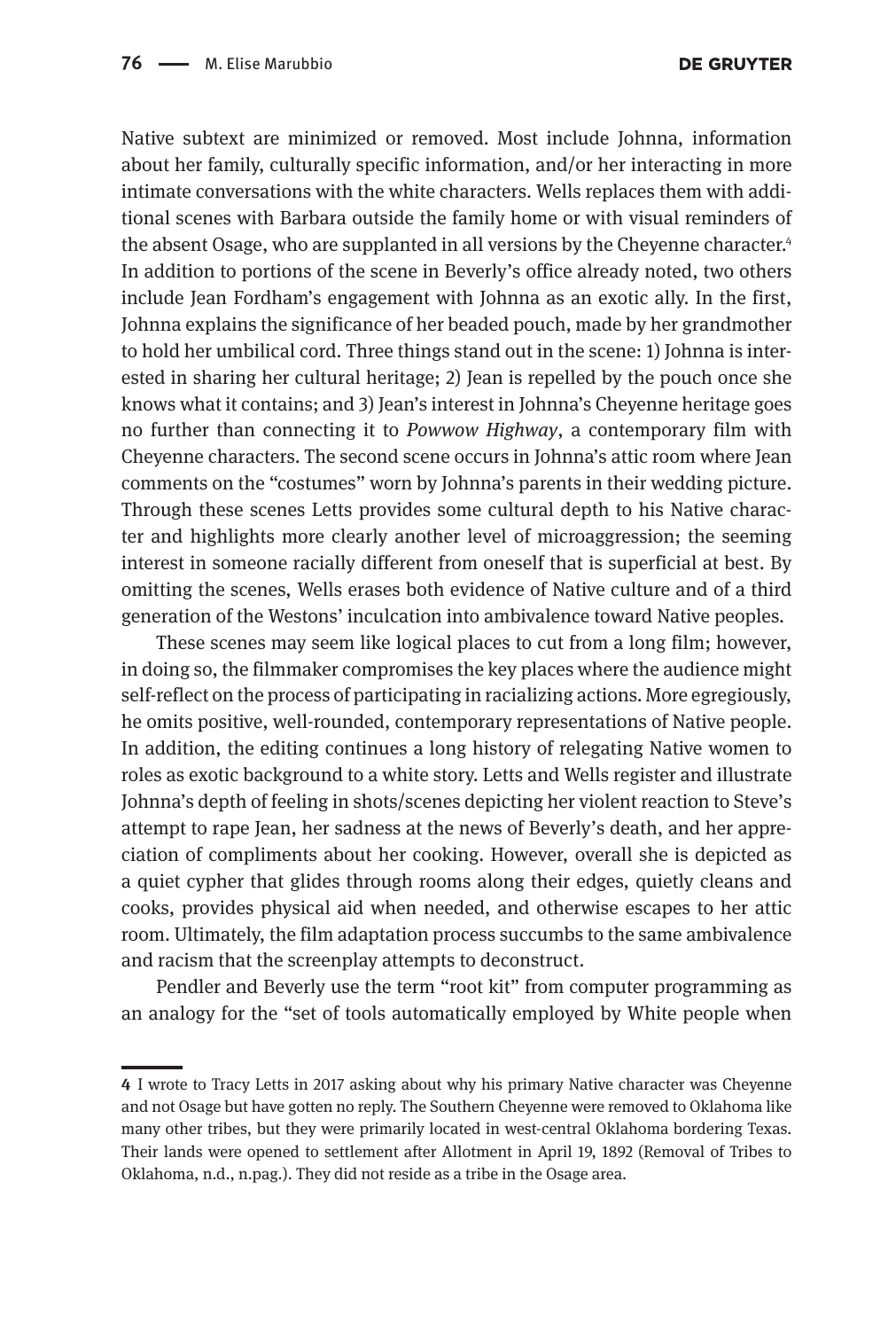Native subtext are minimized or removed. Most include Johnna, information about her family, culturally specific information, and/or her interacting in more intimate conversations with the white characters. Wells replaces them with additional scenes with Barbara outside the family home or with visual reminders of the absent Osage, who are supplanted in all versions by the Cheyenne character.<sup>4</sup> In addition to portions of the scene in Beverly's office already noted, two others include Jean Fordham's engagement with Johnna as an exotic ally. In the first, Johnna explains the significance of her beaded pouch, made by her grandmother to hold her umbilical cord. Three things stand out in the scene: 1) Johnna is interested in sharing her cultural heritage; 2) Jean is repelled by the pouch once she knows what it contains; and 3) Jean's interest in Johnna's Cheyenne heritage goes no further than connecting it to *Powwow Highway*, a contemporary film with Cheyenne characters. The second scene occurs in Johnna's attic room where Jean comments on the "costumes" worn by Johnna's parents in their wedding picture. Through these scenes Letts provides some cultural depth to his Native character and highlights more clearly another level of microaggression; the seeming interest in someone racially different from oneself that is superficial at best. By omitting the scenes, Wells erases both evidence of Native culture and of a third generation of the Westons' inculcation into ambivalence toward Native peoples.

These scenes may seem like logical places to cut from a long film; however, in doing so, the filmmaker compromises the key places where the audience might self-reflect on the process of participating in racializing actions. More egregiously, he omits positive, well-rounded, contemporary representations of Native people. In addition, the editing continues a long history of relegating Native women to roles as exotic background to a white story. Letts and Wells register and illustrate Johnna's depth of feeling in shots/scenes depicting her violent reaction to Steve's attempt to rape Jean, her sadness at the news of Beverly's death, and her appreciation of compliments about her cooking. However, overall she is depicted as a quiet cypher that glides through rooms along their edges, quietly cleans and cooks, provides physical aid when needed, and otherwise escapes to her attic room. Ultimately, the film adaptation process succumbs to the same ambivalence and racism that the screenplay attempts to deconstruct.

Pendler and Beverly use the term "root kit" from computer programming as an analogy for the "set of tools automatically employed by White people when

**<sup>4</sup>** I wrote to Tracy Letts in 2017 asking about why his primary Native character was Cheyenne and not Osage but have gotten no reply. The Southern Cheyenne were removed to Oklahoma like many other tribes, but they were primarily located in west-central Oklahoma bordering Texas. Their lands were opened to settlement after Allotment in April 19, 1892 (Removal of Tribes to Oklahoma, n.d., n.pag.). They did not reside as a tribe in the Osage area.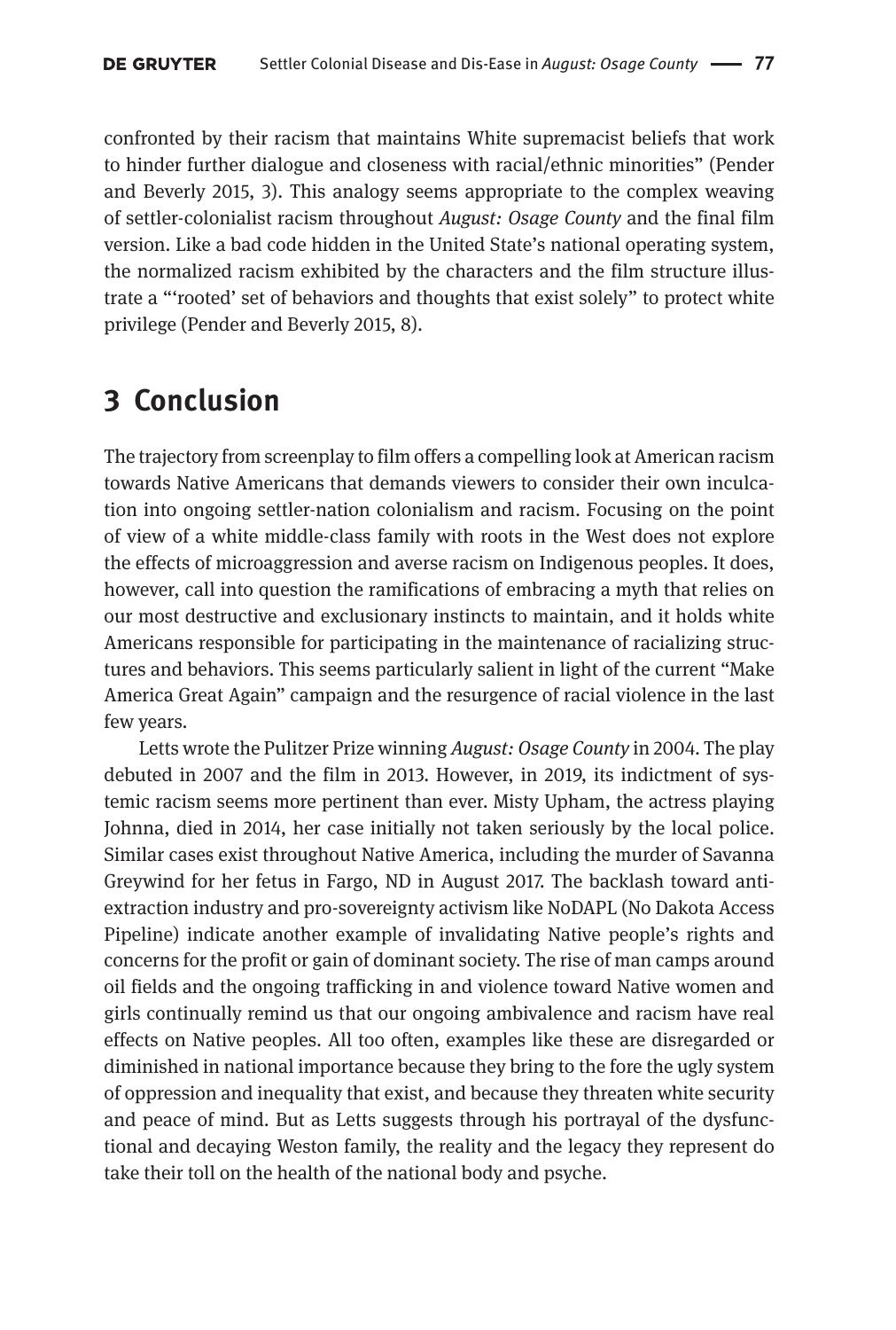confronted by their racism that maintains White supremacist beliefs that work to hinder further dialogue and closeness with racial/ethnic minorities" (Pender and Beverly 2015, 3). This analogy seems appropriate to the complex weaving of settler-colonialist racism throughout *August: Osage County* and the final film version. Like a bad code hidden in the United State's national operating system, the normalized racism exhibited by the characters and the film structure illustrate a "'rooted' set of behaviors and thoughts that exist solely" to protect white privilege (Pender and Beverly 2015, 8).

### **3 Conclusion**

The trajectory from screenplay to film offers a compelling look at American racism towards Native Americans that demands viewers to consider their own inculcation into ongoing settler-nation colonialism and racism. Focusing on the point of view of a white middle-class family with roots in the West does not explore the effects of microaggression and averse racism on Indigenous peoples. It does, however, call into question the ramifications of embracing a myth that relies on our most destructive and exclusionary instincts to maintain, and it holds white Americans responsible for participating in the maintenance of racializing structures and behaviors. This seems particularly salient in light of the current "Make America Great Again" campaign and the resurgence of racial violence in the last few years.

Letts wrote the Pulitzer Prize winning *August: Osage County* in 2004. The play debuted in 2007 and the film in 2013. However, in 2019, its indictment of systemic racism seems more pertinent than ever. Misty Upham, the actress playing Johnna, died in 2014, her case initially not taken seriously by the local police. Similar cases exist throughout Native America, including the murder of Savanna Greywind for her fetus in Fargo, ND in August 2017. The backlash toward antiextraction industry and pro-sovereignty activism like NoDAPL (No Dakota Access Pipeline) indicate another example of invalidating Native people's rights and concerns for the profit or gain of dominant society. The rise of man camps around oil fields and the ongoing trafficking in and violence toward Native women and girls continually remind us that our ongoing ambivalence and racism have real effects on Native peoples. All too often, examples like these are disregarded or diminished in national importance because they bring to the fore the ugly system of oppression and inequality that exist, and because they threaten white security and peace of mind. But as Letts suggests through his portrayal of the dysfunctional and decaying Weston family, the reality and the legacy they represent do take their toll on the health of the national body and psyche.